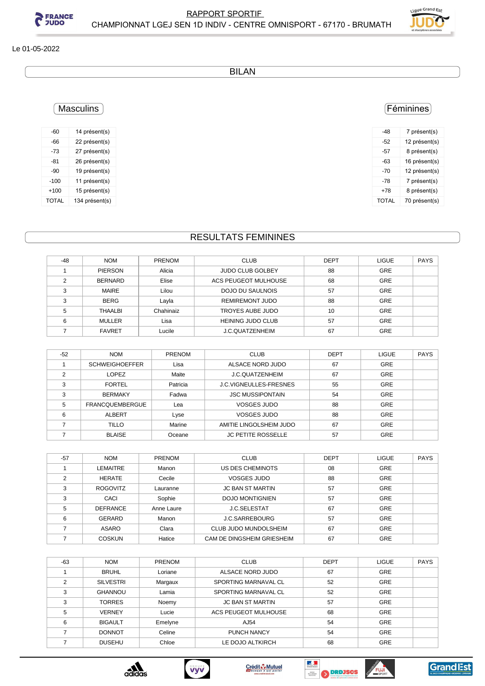



#### Le 01-05-2022

BILAN

## Féminines

| -48          | 7 présent(s)  |
|--------------|---------------|
| -52          | 12 présent(s) |
| -57          | 8 présent(s)  |
| -63          | 16 présent(s) |
| -70          | 12 présent(s) |
| -78          | 7 présent(s)  |
| +78          | 8 présent(s)  |
| <b>TOTAL</b> | 70 présent(s) |

-60 14 présent(s) -66 22 présent(s) -73 27 présent(s) -81 26 présent(s) -90 19 présent(s) -100 11 présent(s) +100 15 présent(s) TOTAL 134 présent(s)

**Masculins** 

## RESULTATS FEMININES

| $-48$ | <b>NOM</b>     | <b>PRENOM</b> | <b>CLUB</b>              | <b>DEPT</b> | <b>LIGUE</b> | <b>PAYS</b> |
|-------|----------------|---------------|--------------------------|-------------|--------------|-------------|
|       | <b>PIERSON</b> | Alicia        | <b>JUDO CLUB GOLBEY</b>  | 88          | <b>GRE</b>   |             |
| ◠     | <b>BERNARD</b> | Elise         | ACS PEUGEOT MULHOUSE     | 68          | <b>GRE</b>   |             |
| 3     | <b>MAIRE</b>   | Lilou         | DOJO DU SAULNOIS         | 57          | <b>GRE</b>   |             |
| 3     | <b>BERG</b>    | Layla         | <b>REMIREMONT JUDO</b>   | 88          | <b>GRE</b>   |             |
| 5     | <b>THAALBI</b> | Chahinaiz     | TROYES AUBE JUDO         | 10          | <b>GRE</b>   |             |
| 6     | <b>MULLER</b>  | Lisa          | <b>HEINING JUDO CLUB</b> | 57          | <b>GRE</b>   |             |
|       | <b>FAVRET</b>  | Lucile        | <b>J.C.QUATZENHEIM</b>   | 67          | <b>GRE</b>   |             |

| $-52$ | <b>NOM</b>             | <b>PRENOM</b> | <b>CLUB</b>                   | <b>DEPT</b> | <b>LIGUE</b> | <b>PAYS</b> |
|-------|------------------------|---------------|-------------------------------|-------------|--------------|-------------|
|       | <b>SCHWEIGHOEFFER</b>  | Lisa          | ALSACE NORD JUDO              | 67          | <b>GRE</b>   |             |
| ◠     | <b>LOPEZ</b>           | Maite         | J.C.QUATZENHEIM               | 67          | <b>GRE</b>   |             |
| 3     | <b>FORTEL</b>          | Patricia      | <b>J.C.VIGNEULLES-FRESNES</b> | 55          | <b>GRE</b>   |             |
| 3     | <b>BERMAKY</b>         | Fadwa         | <b>JSC MUSSIPONTAIN</b>       | 54          | <b>GRE</b>   |             |
| 5     | <b>FRANCQUEMBERGUE</b> | Lea           | VOSGES JUDO                   | 88          | <b>GRE</b>   |             |
| 6     | ALBERT                 | Lyse          | VOSGES JUDO                   | 88          | <b>GRE</b>   |             |
|       | <b>TILLO</b>           | Marine        | AMITIE LINGOLSHEIM JUDO       | 67          | <b>GRE</b>   |             |
|       | <b>BLAISE</b>          | Oceane        | <b>JC PETITE ROSSELLE</b>     | 57          | <b>GRE</b>   |             |

| $-57$ | <b>NOM</b>      | <b>PRENOM</b> | <b>CLUB</b>                | <b>DEPT</b> | <b>LIGUE</b> | <b>PAYS</b> |
|-------|-----------------|---------------|----------------------------|-------------|--------------|-------------|
|       | LEMAITRE        | Manon         | US DES CHEMINOTS           | 08          | <b>GRE</b>   |             |
| ◠     | <b>HERATE</b>   | Cecile        | <b>VOSGES JUDO</b>         | 88          | <b>GRE</b>   |             |
| ∘     | <b>ROGOVITZ</b> | Lauranne      | <b>JC BAN ST MARTIN</b>    | 57          | <b>GRE</b>   |             |
| 3     | CACI            | Sophie        | <b>DOJO MONTIGNIEN</b>     | 57          | <b>GRE</b>   |             |
| 5     | <b>DEFRANCE</b> | Anne Laure    | <b>J.C.SELESTAT</b>        | 67          | <b>GRE</b>   |             |
| 6     | GERARD          | Manon         | J.C.SARREBOURG             | 57          | <b>GRE</b>   |             |
|       | ASARO           | Clara         | CLUB JUDO MUNDOLSHEIM      | 67          | <b>GRE</b>   |             |
|       | <b>COSKUN</b>   | Hatice        | CAM DE DINGSHEIM GRIESHEIM | 67          | <b>GRE</b>   |             |

| $-63$ | <b>NOM</b>       | <b>PRENOM</b> | <b>CLUB</b>                 | <b>DEPT</b> | <b>LIGUE</b> | <b>PAYS</b> |
|-------|------------------|---------------|-----------------------------|-------------|--------------|-------------|
|       | <b>BRUHL</b>     | Loriane       | ALSACE NORD JUDO            | 67          | GRE          |             |
| 2     | <b>SILVESTRI</b> | Margaux       | SPORTING MARNAVAL CL        | 52          | GRE          |             |
| 3     | <b>GHANNOU</b>   | Lamia         | SPORTING MARNAVAL CL        | 52          | GRE          |             |
| 3     | <b>TORRES</b>    | Noemy         | <b>JC BAN ST MARTIN</b>     | 57          | GRE          |             |
| 5     | <b>VERNEY</b>    | Lucie         | <b>ACS PEUGEOT MULHOUSE</b> | 68          | GRE          |             |
| 6     | <b>BIGAULT</b>   | Emelyne       | AJ54                        | 54          | GRE          |             |
|       | <b>DONNOT</b>    | Celine        | <b>PUNCH NANCY</b>          | 54          | GRE          |             |
|       | <b>DUSEHU</b>    | Chloe         | LE DOJO ALTKIRCH            | 68          | GRE          |             |









**FUJI** 

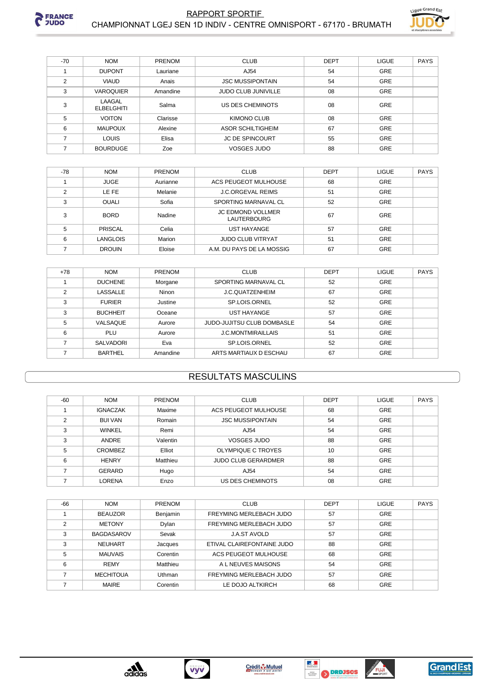



| $-70$         | <b>NOM</b>           | <b>PRENOM</b> | <b>CLUB</b>                | <b>DEPT</b> | <b>LIGUE</b> | PAYS |
|---------------|----------------------|---------------|----------------------------|-------------|--------------|------|
|               | <b>DUPONT</b>        | Lauriane      | AJ54                       | 54          | <b>GRE</b>   |      |
| $\mathcal{P}$ | <b>VIAUD</b>         | Anais         | <b>JSC MUSSIPONTAIN</b>    | 54          | <b>GRE</b>   |      |
| 3             | <b>VAROQUIER</b>     | Amandine      | <b>JUDO CLUB JUNIVILLE</b> | 08          | <b>GRE</b>   |      |
| 3             | LAAGAL<br>ELBELGHITI | Salma         | US DES CHEMINOTS           | 08          | <b>GRE</b>   |      |
| 5             | <b>VOITON</b>        | Clarisse      | KIMONO CLUB                | 08          | <b>GRE</b>   |      |
| 6             | <b>MAUPOUX</b>       | Alexine       | ASOR SCHILTIGHEIM          | 67          | <b>GRE</b>   |      |
|               | <b>LOUIS</b>         | Elisa         | <b>JC DE SPINCOURT</b>     | 55          | <b>GRE</b>   |      |
|               | <b>BOURDUGE</b>      | Zoe           | <b>VOSGES JUDO</b>         | 88          | <b>GRE</b>   |      |

| $-78$ | <b>NOM</b>     | <b>PRENOM</b> | <b>CLUB</b>                             | <b>DEPT</b> | <b>LIGUE</b> | <b>PAYS</b> |
|-------|----------------|---------------|-----------------------------------------|-------------|--------------|-------------|
|       | <b>JUGE</b>    | Aurianne      | ACS PEUGEOT MULHOUSE                    | 68          | <b>GRE</b>   |             |
|       | LE FE          | Melanie       | <b>J.C.ORGEVAL REIMS</b>                | 51          | <b>GRE</b>   |             |
| ◠     | <b>OUALI</b>   | Sofia         | SPORTING MARNAVAL CL                    | 52          | <b>GRE</b>   |             |
| ◠     | <b>BORD</b>    | Nadine        | <b>JC EDMOND VOLLMER</b><br>LAUTERBOURG | 67          | GRE          |             |
| 5     | <b>PRISCAL</b> | Celia         | <b>UST HAYANGE</b>                      | 57          | <b>GRE</b>   |             |
| 6     | LANGLOIS       | Marion        | <b>JUDO CLUB VITRYAT</b>                | 51          | <b>GRE</b>   |             |
|       | <b>DROUIN</b>  | Eloise        | A.M. DU PAYS DE LA MOSSIG               | 67          | <b>GRE</b>   |             |

| $+78$ | <b>NOM</b>      | <b>PRENOM</b> | <b>CLUB</b>                | <b>DEPT</b> | <b>LIGUE</b> | <b>PAYS</b> |
|-------|-----------------|---------------|----------------------------|-------------|--------------|-------------|
|       | <b>DUCHENE</b>  | Morgane       | SPORTING MARNAVAL CL       | 52          | <b>GRE</b>   |             |
| っ     | <b>LASSALLE</b> | Ninon         | J.C.QUATZENHEIM            | 67          | <b>GRE</b>   |             |
| 3     | <b>FURIER</b>   | Justine       | SP.LOIS.ORNEL              | 52          | <b>GRE</b>   |             |
| 3     | <b>BUCHHEIT</b> | Oceane        | <b>UST HAYANGE</b>         | 57          | GRE          |             |
| 5     | VALSAQUE        | Aurore        | JUDO-JUJITSU CLUB DOMBASLE | 54          | <b>GRE</b>   |             |
| 6     | PLU             | Aurore        | <b>J.C.MONTMIRAILLAIS</b>  | 51          | GRE          |             |
|       | SALVADORI       | Eva           | SP.LOIS.ORNEL              | 52          | <b>GRE</b>   |             |
|       | <b>BARTHEL</b>  | Amandine      | ARTS MARTIAUX D ESCHAU     | 67          | <b>GRE</b>   |             |

# **RESULTATS MASCULINS**

| $-60$ | <b>NOM</b>      | <b>PRENOM</b> | <b>CLUB</b>                | <b>DEPT</b> | <b>LIGUE</b> | <b>PAYS</b> |
|-------|-----------------|---------------|----------------------------|-------------|--------------|-------------|
|       | <b>IGNACZAK</b> | Maxime        | ACS PEUGEOT MULHOUSE       | 68          | GRE          |             |
| っ     | <b>BUI VAN</b>  | Romain        | <b>JSC MUSSIPONTAIN</b>    | 54          | <b>GRE</b>   |             |
| 3     | <b>WINKEL</b>   | Remi          | AJ54                       | 54          | <b>GRE</b>   |             |
| 3     | ANDRE           | Valentin      | <b>VOSGES JUDO</b>         | 88          | <b>GRE</b>   |             |
| 5     | <b>CROMBEZ</b>  | Elliot        | OLYMPIQUE C TROYES         | 10          | GRE          |             |
| 6     | <b>HENRY</b>    | Matthieu      | <b>JUDO CLUB GERARDMER</b> | 88          | <b>GRE</b>   |             |
|       | <b>GERARD</b>   | Hugo          | AJ54                       | 54          | <b>GRE</b>   |             |
|       | LORENA          | Enzo          | US DES CHEMINOTS           | 08          | <b>GRE</b>   |             |

| -66 | <b>NOM</b>        | <b>PRENOM</b> | <b>CLUB</b>                 | <b>DEPT</b> | <b>LIGUE</b> | <b>PAYS</b> |
|-----|-------------------|---------------|-----------------------------|-------------|--------------|-------------|
|     | <b>BEAUZOR</b>    | Benjamin      | FREYMING MERLEBACH JUDO     | 57          | <b>GRE</b>   |             |
| ◠   | <b>METONY</b>     | Dylan         | FREYMING MERLEBACH JUDO     | 57          | <b>GRE</b>   |             |
| 3   | <b>BAGDASAROV</b> | Sevak         | <b>J.A.ST AVOLD</b>         | 57          | GRE          |             |
| 3   | <b>NEUHART</b>    | Jacques       | ETIVAL CLAIREFONTAINE JUDO  | 88          | GRE          |             |
| 5   | <b>MAUVAIS</b>    | Corentin      | <b>ACS PEUGEOT MULHOUSE</b> | 68          | GRE          |             |
| 6   | <b>REMY</b>       | Matthieu      | A L NEUVES MAISONS          | 54          | GRE          |             |
|     | <b>MECHITOUA</b>  | Uthman        | FREYMING MERLEBACH JUDO     | 57          | GRE          |             |
|     | <b>MAIRE</b>      | Corentin      | LE DOJO ALTKIRCH            | 68          | <b>GRE</b>   |             |